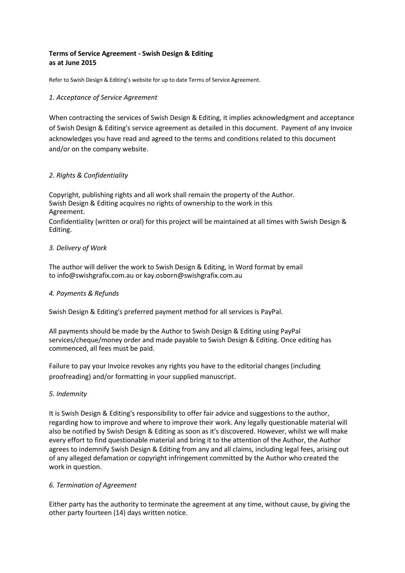# **Terms of Service Agreement - Swish Design & Editing as at June 2015**

Refer to Swish Design & Editing's website for up to date Terms of Service Agreement.

## *1. Acceptance of Service Agreement*

When contracting the services of Swish Design & Editing, it implies acknowledgment and acceptance of Swish Design & Editing's service agreement as detailed in this document. Payment of any Invoice acknowledges you have read and agreed to the terms and conditions related to this document and/or on the company website.

## *2. Rights & Confidentiality*

Copyright, publishing rights and all work shall remain the property of the Author. Swish Design & Editing acquires no rights of ownership to the work in this Agreement.

Confidentiality (written or oral) for this project will be maintained at all times with Swish Design & Editing.

## *3. Delivery of Work*

The author will deliver the work to Swish Design & Editing, in Word format by email to info@swishgrafix.com.au or kay.osborn@swishgrafix.com.au

### *4. Payments & Refunds*

Swish Design & Editing's preferred payment method for all services is PayPal.

All payments should be made by the Author to Swish Design & Editing using PayPal services/cheque/money order and made payable to Swish Design & Editing. Once editing has commenced, all fees must be paid.

Failure to pay your Invoice revokes any rights you have to the editorial changes (including proofreading) and/or formatting in your supplied manuscript.

### *5. Indemnity*

It is Swish Design & Editing's responsibility to offer fair advice and suggestions to the author, regarding how to improve and where to improve their work. Any legally questionable material will also be notified by Swish Design & Editing as soon as it's discovered. However, whilst we will make every effort to find questionable material and bring it to the attention of the Author, the Author agrees to indemnify Swish Design & Editing from any and all claims, including legal fees, arising out of any alleged defamation or copyright infringement committed by the Author who created the work in question.

### *6. Termination of Agreement*

Either party has the authority to terminate the agreement at any time, without cause, by giving the other party fourteen (14) days written notice.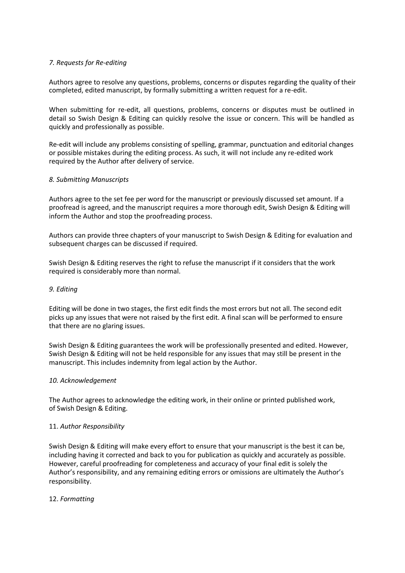### *7. Requests for Re-editing*

Authors agree to resolve any questions, problems, concerns or disputes regarding the quality of their completed, edited manuscript, by formally submitting a written request for a re-edit.

When submitting for re-edit, all questions, problems, concerns or disputes must be outlined in detail so Swish Design & Editing can quickly resolve the issue or concern. This will be handled as quickly and professionally as possible.

Re-edit will include any problems consisting of spelling, grammar, punctuation and editorial changes or possible mistakes during the editing process. As such, it will not include any re-edited work required by the Author after delivery of service.

### *8. Submitting Manuscripts*

Authors agree to the set fee per word for the manuscript or previously discussed set amount. If a proofread is agreed, and the manuscript requires a more thorough edit, Swish Design & Editing will inform the Author and stop the proofreading process.

Authors can provide three chapters of your manuscript to Swish Design & Editing for evaluation and subsequent charges can be discussed if required.

Swish Design & Editing reserves the right to refuse the manuscript if it considers that the work required is considerably more than normal.

#### *9. Editing*

Editing will be done in two stages, the first edit finds the most errors but not all. The second edit picks up any issues that were not raised by the first edit. A final scan will be performed to ensure that there are no glaring issues.

Swish Design & Editing guarantees the work will be professionally presented and edited. However, Swish Design & Editing will not be held responsible for any issues that may still be present in the manuscript. This includes indemnity from legal action by the Author.

### *10. Acknowledgement*

The Author agrees to acknowledge the editing work, in their online or printed published work, of Swish Design & Editing.

### 11. *Author Responsibility*

Swish Design & Editing will make every effort to ensure that your manuscript is the best it can be, including having it corrected and back to you for publication as quickly and accurately as possible. However, careful proofreading for completeness and accuracy of your final edit is solely the Author's responsibility, and any remaining editing errors or omissions are ultimately the Author's responsibility.

### 12. *Formatting*